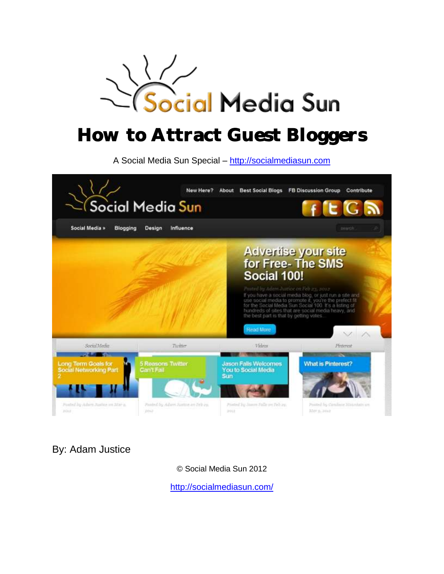

# How to Attract Guest Bloggers

A Social Media Sun Special – [http://socialmediasun.com](http://socialmediasun.com/)



By: Adam Justice

© Social Media Sun 2012

<http://socialmediasun.com/>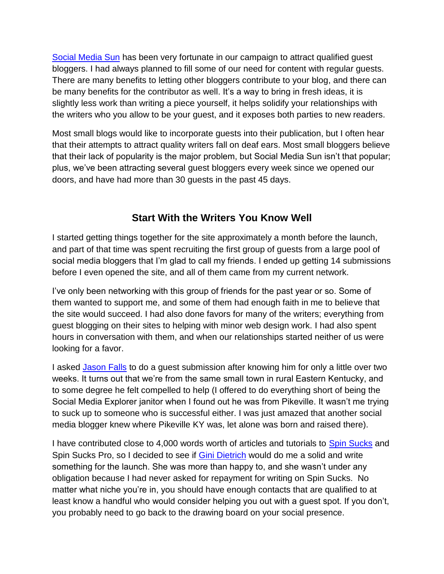[Social Media Sun](http://socialmediasun.com/) has been very fortunate in our campaign to attract qualified guest bloggers. I had always planned to fill some of our need for content with regular guests. There are many benefits to letting other bloggers contribute to your blog, and there can be many benefits for the contributor as well. It's a way to bring in fresh ideas, it is slightly less work than writing a piece yourself, it helps solidify your relationships with the writers who you allow to be your guest, and it exposes both parties to new readers.

Most small blogs would like to incorporate guests into their publication, but I often hear that their attempts to attract quality writers fall on deaf ears. Most small bloggers believe that their lack of popularity is the major problem, but Social Media Sun isn't that popular; plus, we've been attracting several guest bloggers every week since we opened our doors, and have had more than 30 guests in the past 45 days.

#### **Start With the Writers You Know Well**

I started getting things together for the site approximately a month before the launch, and part of that time was spent recruiting the first group of guests from a large pool of social media bloggers that I'm glad to call my friends. I ended up getting 14 submissions before I even opened the site, and all of them came from my current network.

I've only been networking with this group of friends for the past year or so. Some of them wanted to support me, and some of them had enough faith in me to believe that the site would succeed. I had also done favors for many of the writers; everything from guest blogging on their sites to helping with minor web design work. I had also spent hours in conversation with them, and when our relationships started neither of us were looking for a favor.

I asked [Jason Falls](http://twitter.com/#!/JasonFalls) to do a guest submission after knowing him for only a little over two weeks. It turns out that we're from the same small town in rural Eastern Kentucky, and to some degree he felt compelled to help (I offered to do everything short of being the Social Media Explorer janitor when I found out he was from Pikeville. It wasn't me trying to suck up to someone who is successful either. I was just amazed that another social media blogger knew where Pikeville KY was, let alone was born and raised there).

I have contributed close to 4,000 words worth of articles and tutorials to [Spin Sucks](http://spinsucks.com/) and Spin Sucks Pro, so I decided to see if [Gini Dietrich](http://twitter.com/#!/ginidietrich) would do me a solid and write something for the launch. She was more than happy to, and she wasn't under any obligation because I had never asked for repayment for writing on Spin Sucks. No matter what niche you're in, you should have enough contacts that are qualified to at least know a handful who would consider helping you out with a guest spot. If you don't, you probably need to go back to the drawing board on your social presence.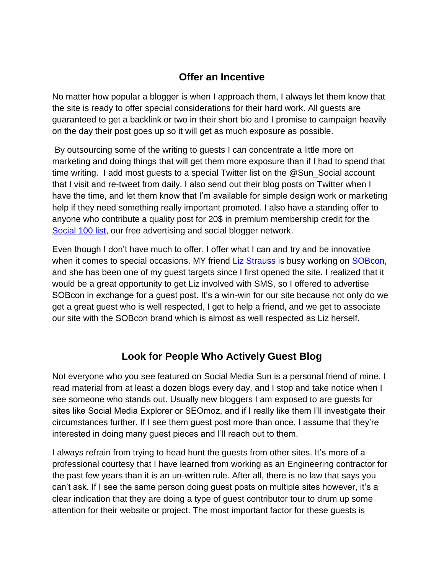#### **Offer an Incentive**

No matter how popular a blogger is when I approach them, I always let them know that the site is ready to offer special considerations for their hard work. All guests are guaranteed to get a backlink or two in their short bio and I promise to campaign heavily on the day their post goes up so it will get as much exposure as possible.

By outsourcing some of the writing to guests I can concentrate a little more on marketing and doing things that will get them more exposure than if I had to spend that time writing. I add most guests to a special Twitter list on the @Sun\_Social account that I visit and re-tweet from daily. I also send out their blog posts on Twitter when I have the time, and let them know that I'm available for simple design work or marketing help if they need something really important promoted. I also have a standing offer to anyone who contribute a quality post for 20\$ in premium membership credit for the Social [100 list,](http://socialmediasun.com/best/) our free advertising and social blogger network.

Even though I don't have much to offer, I offer what I can and try and be innovative when it comes to special occasions. MY friend [Liz Strauss](http://twitter.com/#!/lizstrauss) is busy working on [SOBcon,](http://www.sobevent.com/) and she has been one of my guest targets since I first opened the site. I realized that it would be a great opportunity to get Liz involved with SMS, so I offered to advertise SOBcon in exchange for a guest post. It's a win-win for our site because not only do we get a great guest who is well respected, I get to help a friend, and we get to associate our site with the SOBcon brand which is almost as well respected as Liz herself.

# **Look for People Who Actively Guest Blog**

Not everyone who you see featured on Social Media Sun is a personal friend of mine. I read material from at least a dozen blogs every day, and I stop and take notice when I see someone who stands out. Usually new bloggers I am exposed to are guests for sites like Social Media Explorer or SEOmoz, and if I really like them I'll investigate their circumstances further. If I see them guest post more than once, I assume that they're interested in doing many guest pieces and I'll reach out to them.

I always refrain from trying to head hunt the guests from other sites. It's more of a professional courtesy that I have learned from working as an Engineering contractor for the past few years than it is an un-written rule. After all, there is no law that says you can't ask. If I see the same person doing guest posts on multiple sites however, it's a clear indication that they are doing a type of guest contributor tour to drum up some attention for their website or project. The most important factor for these guests is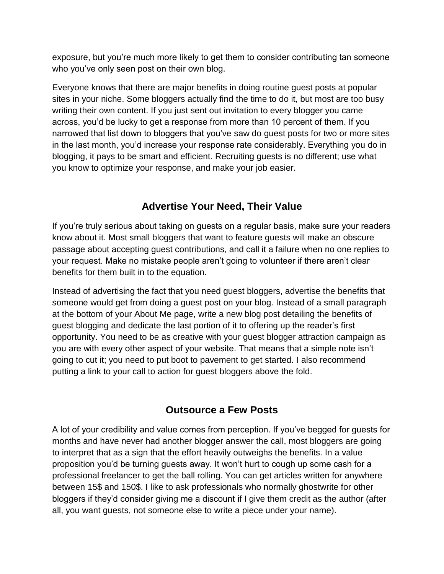exposure, but you're much more likely to get them to consider contributing tan someone who you've only seen post on their own blog.

Everyone knows that there are major benefits in doing routine guest posts at popular sites in your niche. Some bloggers actually find the time to do it, but most are too busy writing their own content. If you just sent out invitation to every blogger you came across, you'd be lucky to get a response from more than 10 percent of them. If you narrowed that list down to bloggers that you've saw do guest posts for two or more sites in the last month, you'd increase your response rate considerably. Everything you do in blogging, it pays to be smart and efficient. Recruiting guests is no different; use what you know to optimize your response, and make your job easier.

## **Advertise Your Need, Their Value**

If you're truly serious about taking on guests on a regular basis, make sure your readers know about it. Most small bloggers that want to feature guests will make an obscure passage about accepting guest contributions, and call it a failure when no one replies to your request. Make no mistake people aren't going to volunteer if there aren't clear benefits for them built in to the equation.

Instead of advertising the fact that you need guest bloggers, advertise the benefits that someone would get from doing a guest post on your blog. Instead of a small paragraph at the bottom of your About Me page, write a new blog post detailing the benefits of guest blogging and dedicate the last portion of it to offering up the reader's first opportunity. You need to be as creative with your guest blogger attraction campaign as you are with every other aspect of your website. That means that a simple note isn't going to cut it; you need to put boot to pavement to get started. I also recommend putting a link to your call to action for guest bloggers above the fold.

#### **Outsource a Few Posts**

A lot of your credibility and value comes from perception. If you've begged for guests for months and have never had another blogger answer the call, most bloggers are going to interpret that as a sign that the effort heavily outweighs the benefits. In a value proposition you'd be turning guests away. It won't hurt to cough up some cash for a professional freelancer to get the ball rolling. You can get articles written for anywhere between 15\$ and 150\$. I like to ask professionals who normally ghostwrite for other bloggers if they'd consider giving me a discount if I give them credit as the author (after all, you want guests, not someone else to write a piece under your name).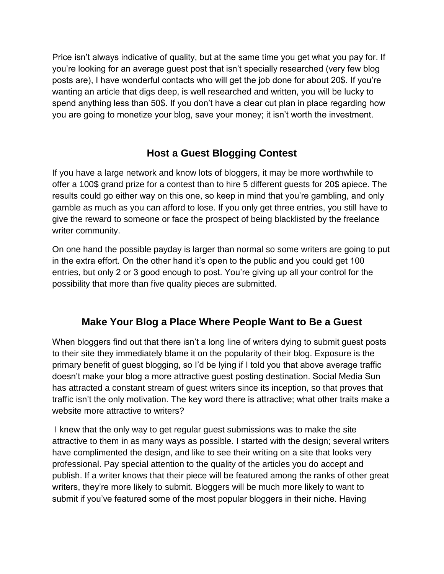Price isn't always indicative of quality, but at the same time you get what you pay for. If you're looking for an average guest post that isn't specially researched (very few blog posts are), I have wonderful contacts who will get the job done for about 20\$. If you're wanting an article that digs deep, is well researched and written, you will be lucky to spend anything less than 50\$. If you don't have a clear cut plan in place regarding how you are going to monetize your blog, save your money; it isn't worth the investment.

# **Host a Guest Blogging Contest**

If you have a large network and know lots of bloggers, it may be more worthwhile to offer a 100\$ grand prize for a contest than to hire 5 different guests for 20\$ apiece. The results could go either way on this one, so keep in mind that you're gambling, and only gamble as much as you can afford to lose. If you only get three entries, you still have to give the reward to someone or face the prospect of being blacklisted by the freelance writer community.

On one hand the possible payday is larger than normal so some writers are going to put in the extra effort. On the other hand it's open to the public and you could get 100 entries, but only 2 or 3 good enough to post. You're giving up all your control for the possibility that more than five quality pieces are submitted.

#### **Make Your Blog a Place Where People Want to Be a Guest**

When bloggers find out that there isn't a long line of writers dying to submit guest posts to their site they immediately blame it on the popularity of their blog. Exposure is the primary benefit of guest blogging, so I'd be lying if I told you that above average traffic doesn't make your blog a more attractive guest posting destination. Social Media Sun has attracted a constant stream of guest writers since its inception, so that proves that traffic isn't the only motivation. The key word there is attractive; what other traits make a website more attractive to writers?

I knew that the only way to get regular guest submissions was to make the site attractive to them in as many ways as possible. I started with the design; several writers have complimented the design, and like to see their writing on a site that looks very professional. Pay special attention to the quality of the articles you do accept and publish. If a writer knows that their piece will be featured among the ranks of other great writers, they're more likely to submit. Bloggers will be much more likely to want to submit if you've featured some of the most popular bloggers in their niche. Having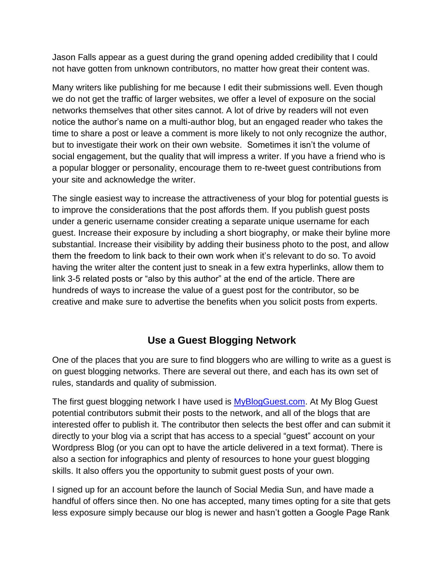Jason Falls appear as a guest during the grand opening added credibility that I could not have gotten from unknown contributors, no matter how great their content was.

Many writers like publishing for me because I edit their submissions well. Even though we do not get the traffic of larger websites, we offer a level of exposure on the social networks themselves that other sites cannot. A lot of drive by readers will not even notice the author's name on a multi-author blog, but an engaged reader who takes the time to share a post or leave a comment is more likely to not only recognize the author, but to investigate their work on their own website. Sometimes it isn't the volume of social engagement, but the quality that will impress a writer. If you have a friend who is a popular blogger or personality, encourage them to re-tweet guest contributions from your site and acknowledge the writer.

The single easiest way to increase the attractiveness of your blog for potential guests is to improve the considerations that the post affords them. If you publish guest posts under a generic username consider creating a separate unique username for each guest. Increase their exposure by including a short biography, or make their byline more substantial. Increase their visibility by adding their business photo to the post, and allow them the freedom to link back to their own work when it's relevant to do so. To avoid having the writer alter the content just to sneak in a few extra hyperlinks, allow them to link 3-5 related posts or "also by this author" at the end of the article. There are hundreds of ways to increase the value of a guest post for the contributor, so be creative and make sure to advertise the benefits when you solicit posts from experts.

#### **Use a Guest Blogging Network**

One of the places that you are sure to find bloggers who are willing to write as a guest is on guest blogging networks. There are several out there, and each has its own set of rules, standards and quality of submission.

The first guest blogging network I have used is **MyBlogGuest.com**. At My Blog Guest potential contributors submit their posts to the network, and all of the blogs that are interested offer to publish it. The contributor then selects the best offer and can submit it directly to your blog via a script that has access to a special "guest" account on your Wordpress Blog (or you can opt to have the article delivered in a text format). There is also a section for infographics and plenty of resources to hone your guest blogging skills. It also offers you the opportunity to submit guest posts of your own.

I signed up for an account before the launch of Social Media Sun, and have made a handful of offers since then. No one has accepted, many times opting for a site that gets less exposure simply because our blog is newer and hasn't gotten a Google Page Rank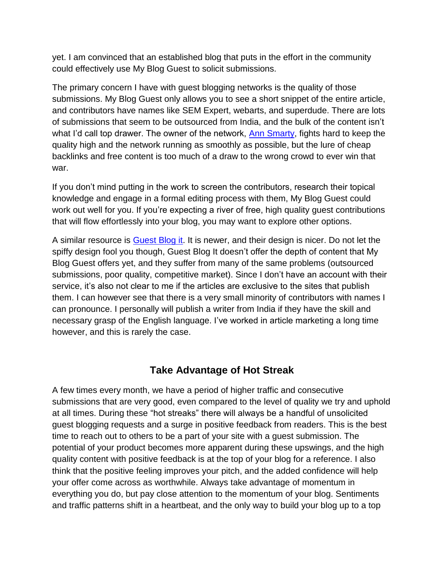yet. I am convinced that an established blog that puts in the effort in the community could effectively use My Blog Guest to solicit submissions.

The primary concern I have with guest blogging networks is the quality of those submissions. My Blog Guest only allows you to see a short snippet of the entire article, and contributors have names like SEM Expert, webarts, and superdude. There are lots of submissions that seem to be outsourced from India, and the bulk of the content isn't what I'd call top drawer. The owner of the network, [Ann Smarty,](http://twitter.com/#!/seosmarty) fights hard to keep the quality high and the network running as smoothly as possible, but the lure of cheap backlinks and free content is too much of a draw to the wrong crowd to ever win that war.

If you don't mind putting in the work to screen the contributors, research their topical knowledge and engage in a formal editing process with them, My Blog Guest could work out well for you. If you're expecting a river of free, high quality guest contributions that will flow effortlessly into your blog, you may want to explore other options.

A similar resource is [Guest Blog it.](http://www.guestblogit.com/) It is newer, and their design is nicer. Do not let the spiffy design fool you though, Guest Blog It doesn't offer the depth of content that My Blog Guest offers yet, and they suffer from many of the same problems (outsourced submissions, poor quality, competitive market). Since I don't have an account with their service, it's also not clear to me if the articles are exclusive to the sites that publish them. I can however see that there is a very small minority of contributors with names I can pronounce. I personally will publish a writer from India if they have the skill and necessary grasp of the English language. I've worked in article marketing a long time however, and this is rarely the case.

#### **Take Advantage of Hot Streak**

A few times every month, we have a period of higher traffic and consecutive submissions that are very good, even compared to the level of quality we try and uphold at all times. During these "hot streaks" there will always be a handful of unsolicited guest blogging requests and a surge in positive feedback from readers. This is the best time to reach out to others to be a part of your site with a guest submission. The potential of your product becomes more apparent during these upswings, and the high quality content with positive feedback is at the top of your blog for a reference. I also think that the positive feeling improves your pitch, and the added confidence will help your offer come across as worthwhile. Always take advantage of momentum in everything you do, but pay close attention to the momentum of your blog. Sentiments and traffic patterns shift in a heartbeat, and the only way to build your blog up to a top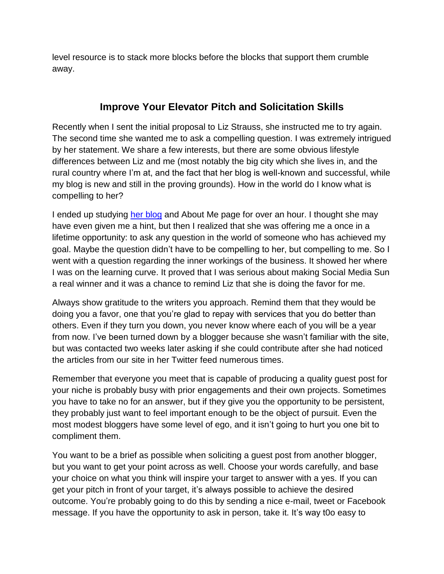level resource is to stack more blocks before the blocks that support them crumble away.

#### **Improve Your Elevator Pitch and Solicitation Skills**

Recently when I sent the initial proposal to Liz Strauss, she instructed me to try again. The second time she wanted me to ask a compelling question. I was extremely intrigued by her statement. We share a few interests, but there are some obvious lifestyle differences between Liz and me (most notably the big city which she lives in, and the rural country where I'm at, and the fact that her blog is well-known and successful, while my blog is new and still in the proving grounds). How in the world do I know what is compelling to her?

I ended up studying [her blog](http://successful-blog.com/) and About Me page for over an hour. I thought she may have even given me a hint, but then I realized that she was offering me a once in a lifetime opportunity: to ask any question in the world of someone who has achieved my goal. Maybe the question didn't have to be compelling to her, but compelling to me. So I went with a question regarding the inner workings of the business. It showed her where I was on the learning curve. It proved that I was serious about making Social Media Sun a real winner and it was a chance to remind Liz that she is doing the favor for me.

Always show gratitude to the writers you approach. Remind them that they would be doing you a favor, one that you're glad to repay with services that you do better than others. Even if they turn you down, you never know where each of you will be a year from now. I've been turned down by a blogger because she wasn't familiar with the site, but was contacted two weeks later asking if she could contribute after she had noticed the articles from our site in her Twitter feed numerous times.

Remember that everyone you meet that is capable of producing a quality guest post for your niche is probably busy with prior engagements and their own projects. Sometimes you have to take no for an answer, but if they give you the opportunity to be persistent, they probably just want to feel important enough to be the object of pursuit. Even the most modest bloggers have some level of ego, and it isn't going to hurt you one bit to compliment them.

You want to be a brief as possible when soliciting a guest post from another blogger, but you want to get your point across as well. Choose your words carefully, and base your choice on what you think will inspire your target to answer with a yes. If you can get your pitch in front of your target, it's always possible to achieve the desired outcome. You're probably going to do this by sending a nice e-mail, tweet or Facebook message. If you have the opportunity to ask in person, take it. It's way t0o easy to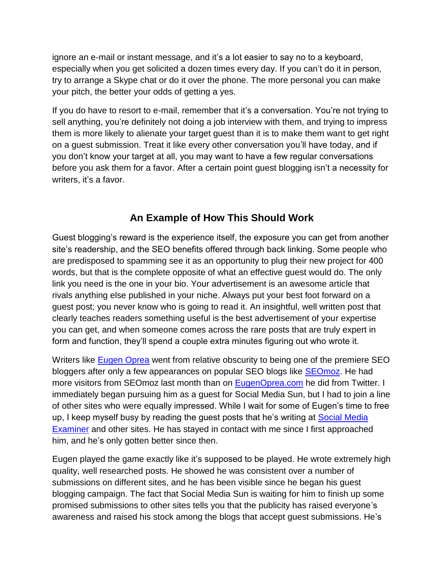ignore an e-mail or instant message, and it's a lot easier to say no to a keyboard, especially when you get solicited a dozen times every day. If you can't do it in person, try to arrange a Skype chat or do it over the phone. The more personal you can make your pitch, the better your odds of getting a yes.

If you do have to resort to e-mail, remember that it's a conversation. You're not trying to sell anything, you're definitely not doing a job interview with them, and trying to impress them is more likely to alienate your target guest than it is to make them want to get right on a guest submission. Treat it like every other conversation you'll have today, and if you don't know your target at all, you may want to have a few regular conversations before you ask them for a favor. After a certain point guest blogging isn't a necessity for writers, it's a favor.

## **An Example of How This Should Work**

Guest blogging's reward is the experience itself, the exposure you can get from another site's readership, and the SEO benefits offered through back linking. Some people who are predisposed to spamming see it as an opportunity to plug their new project for 400 words, but that is the complete opposite of what an effective guest would do. The only link you need is the one in your bio. Your advertisement is an awesome article that rivals anything else published in your niche. Always put your best foot forward on a guest post; you never know who is going to read it. An insightful, well written post that clearly teaches readers something useful is the best advertisement of your expertise you can get, and when someone comes across the rare posts that are truly expert in form and function, they'll spend a couple extra minutes figuring out who wrote it.

Writers like [Eugen Oprea](http://twitter.com/#!/eugenoprea) went from relative obscurity to being one of the premiere SEO bloggers after only a few appearances on popular SEO blogs like [SEOmoz.](http://seomoz.com/) He had more visitors from SEOmoz last month than on [EugenOprea.com](http://eugenoprea.com/) he did from Twitter. I immediately began pursuing him as a guest for Social Media Sun, but I had to join a line of other sites who were equally impressed. While I wait for some of Eugen's time to free up, I keep myself busy by reading the guest posts that he's writing at **Social Media** [Examiner](http://socialmediaexaminer.com/) and other sites. He has stayed in contact with me since I first approached him, and he's only gotten better since then.

Eugen played the game exactly like it's supposed to be played. He wrote extremely high quality, well researched posts. He showed he was consistent over a number of submissions on different sites, and he has been visible since he began his guest blogging campaign. The fact that Social Media Sun is waiting for him to finish up some promised submissions to other sites tells you that the publicity has raised everyone's awareness and raised his stock among the blogs that accept guest submissions. He's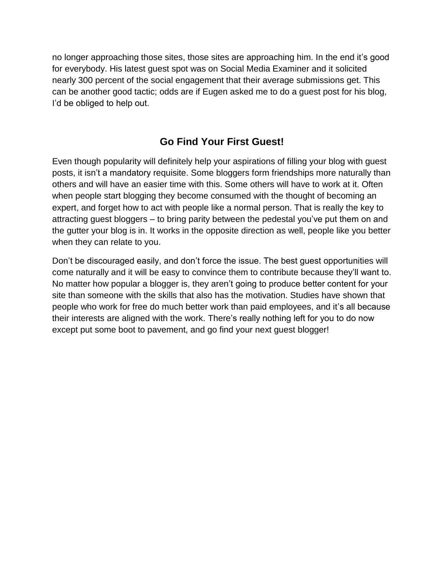no longer approaching those sites, those sites are approaching him. In the end it's good for everybody. His latest guest spot was on Social Media Examiner and it solicited nearly 300 percent of the social engagement that their average submissions get. This can be another good tactic; odds are if Eugen asked me to do a guest post for his blog, I'd be obliged to help out.

#### **Go Find Your First Guest!**

Even though popularity will definitely help your aspirations of filling your blog with guest posts, it isn't a mandatory requisite. Some bloggers form friendships more naturally than others and will have an easier time with this. Some others will have to work at it. Often when people start blogging they become consumed with the thought of becoming an expert, and forget how to act with people like a normal person. That is really the key to attracting guest bloggers – to bring parity between the pedestal you've put them on and the gutter your blog is in. It works in the opposite direction as well, people like you better when they can relate to you.

Don't be discouraged easily, and don't force the issue. The best guest opportunities will come naturally and it will be easy to convince them to contribute because they'll want to. No matter how popular a blogger is, they aren't going to produce better content for your site than someone with the skills that also has the motivation. Studies have shown that people who work for free do much better work than paid employees, and it's all because their interests are aligned with the work. There's really nothing left for you to do now except put some boot to pavement, and go find your next guest blogger!